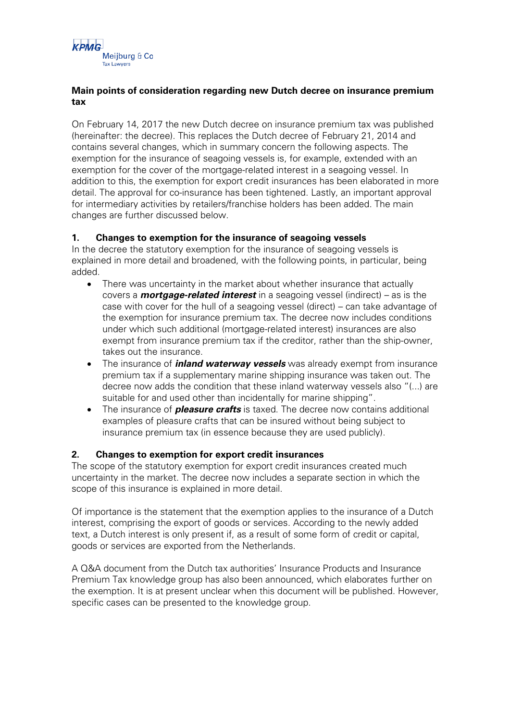

### **Main points of consideration regarding new Dutch decree on insurance premium tax**

On February 14, 2017 the new Dutch decree on insurance premium tax was published (hereinafter: the decree). This replaces the Dutch decree of February 21, 2014 and contains several changes, which in summary concern the following aspects. The exemption for the insurance of seagoing vessels is, for example, extended with an exemption for the cover of the mortgage-related interest in a seagoing vessel. In addition to this, the exemption for export credit insurances has been elaborated in more detail. The approval for co-insurance has been tightened. Lastly, an important approval for intermediary activities by retailers/franchise holders has been added. The main changes are further discussed below.

# **1. Changes to exemption for the insurance of seagoing vessels**

In the decree the statutory exemption for the insurance of seagoing vessels is explained in more detail and broadened, with the following points, in particular, being added.

- There was uncertainty in the market about whether insurance that actually covers a **mortgage-related interest** in a seagoing vessel (indirect) – as is the case with cover for the hull of a seagoing vessel (direct) – can take advantage of the exemption for insurance premium tax. The decree now includes conditions under which such additional (mortgage-related interest) insurances are also exempt from insurance premium tax if the creditor, rather than the ship-owner, takes out the insurance.
- The insurance of **inland waterway vessels** was already exempt from insurance premium tax if a supplementary marine shipping insurance was taken out. The decree now adds the condition that these inland waterway vessels also "(...) are suitable for and used other than incidentally for marine shipping".
- The insurance of **pleasure crafts** is taxed. The decree now contains additional examples of pleasure crafts that can be insured without being subject to insurance premium tax (in essence because they are used publicly).

### **2. Changes to exemption for export credit insurances**

The scope of the statutory exemption for export credit insurances created much uncertainty in the market. The decree now includes a separate section in which the scope of this insurance is explained in more detail.

Of importance is the statement that the exemption applies to the insurance of a Dutch interest, comprising the export of goods or services. According to the newly added text, a Dutch interest is only present if, as a result of some form of credit or capital, goods or services are exported from the Netherlands.

A Q&A document from the Dutch tax authorities' Insurance Products and Insurance Premium Tax knowledge group has also been announced, which elaborates further on the exemption. It is at present unclear when this document will be published. However, specific cases can be presented to the knowledge group.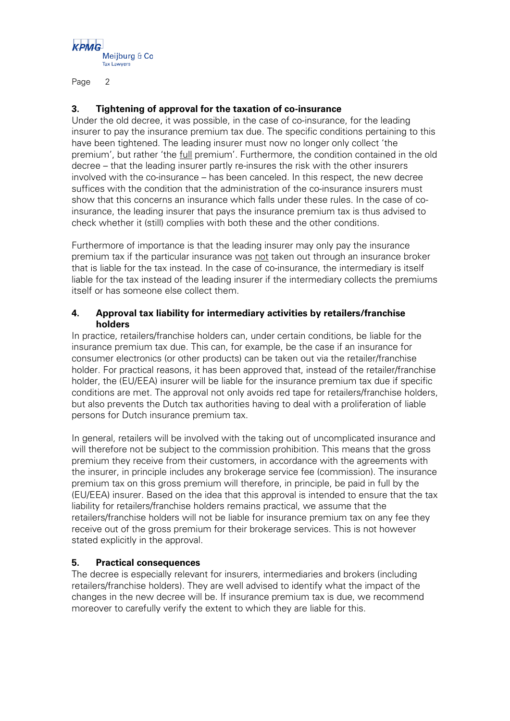

Page 2

# **3. Tightening of approval for the taxation of co-insurance**

Under the old decree, it was possible, in the case of co-insurance, for the leading insurer to pay the insurance premium tax due. The specific conditions pertaining to this have been tightened. The leading insurer must now no longer only collect 'the premium', but rather 'the full premium'. Furthermore, the condition contained in the old decree – that the leading insurer partly re-insures the risk with the other insurers involved with the co-insurance – has been canceled. In this respect, the new decree suffices with the condition that the administration of the co-insurance insurers must show that this concerns an insurance which falls under these rules. In the case of coinsurance, the leading insurer that pays the insurance premium tax is thus advised to check whether it (still) complies with both these and the other conditions.

Furthermore of importance is that the leading insurer may only pay the insurance premium tax if the particular insurance was not taken out through an insurance broker that is liable for the tax instead. In the case of co-insurance, the intermediary is itself liable for the tax instead of the leading insurer if the intermediary collects the premiums itself or has someone else collect them.

### **4. Approval tax liability for intermediary activities by retailers/franchise holders**

In practice, retailers/franchise holders can, under certain conditions, be liable for the insurance premium tax due. This can, for example, be the case if an insurance for consumer electronics (or other products) can be taken out via the retailer/franchise holder. For practical reasons, it has been approved that, instead of the retailer/franchise holder, the (EU/EEA) insurer will be liable for the insurance premium tax due if specific conditions are met. The approval not only avoids red tape for retailers/franchise holders, but also prevents the Dutch tax authorities having to deal with a proliferation of liable persons for Dutch insurance premium tax.

In general, retailers will be involved with the taking out of uncomplicated insurance and will therefore not be subject to the commission prohibition. This means that the gross premium they receive from their customers, in accordance with the agreements with the insurer, in principle includes any brokerage service fee (commission). The insurance premium tax on this gross premium will therefore, in principle, be paid in full by the (EU/EEA) insurer. Based on the idea that this approval is intended to ensure that the tax liability for retailers/franchise holders remains practical, we assume that the retailers/franchise holders will not be liable for insurance premium tax on any fee they receive out of the gross premium for their brokerage services. This is not however stated explicitly in the approval.

### **5. Practical consequences**

The decree is especially relevant for insurers, intermediaries and brokers (including retailers/franchise holders). They are well advised to identify what the impact of the changes in the new decree will be. If insurance premium tax is due, we recommend moreover to carefully verify the extent to which they are liable for this.